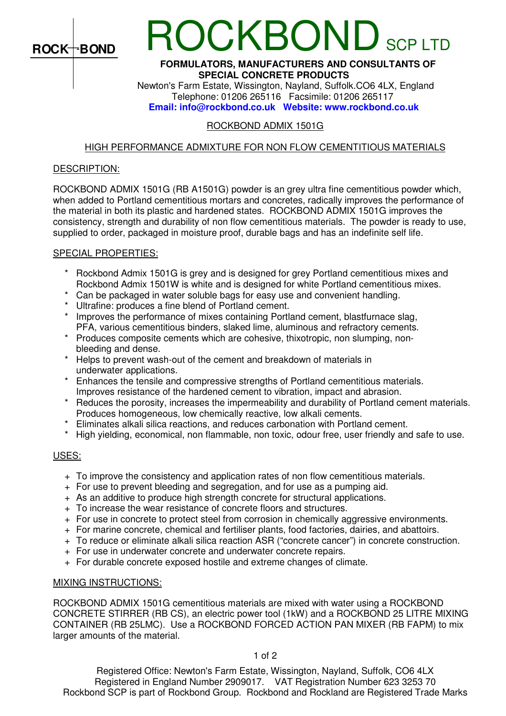

# **OCKBOND**

## **FORMULATORS, MANUFACTURERS AND CONSULTANTS OF SPECIAL CONCRETE PRODUCTS**

 Newton's Farm Estate, Wissington, Nayland, Suffolk.CO6 4LX, England Telephone: 01206 265116 Facsimile: 01206 265117 **Email: info@rockbond.co.uk Website: www.rockbond.co.uk** 

# ROCKBOND ADMIX 1501G

# HIGH PERFORMANCE ADMIXTURE FOR NON FLOW CEMENTITIOUS MATERIALS

# DESCRIPTION:

ROCKBOND ADMIX 1501G (RB A1501G) powder is an grey ultra fine cementitious powder which, when added to Portland cementitious mortars and concretes, radically improves the performance of the material in both its plastic and hardened states. ROCKBOND ADMIX 1501G improves the consistency, strength and durability of non flow cementitious materials. The powder is ready to use, supplied to order, packaged in moisture proof, durable bags and has an indefinite self life.

## SPECIAL PROPERTIES:

- Rockbond Admix 1501G is grey and is designed for grey Portland cementitious mixes and Rockbond Admix 1501W is white and is designed for white Portland cementitious mixes.
- Can be packaged in water soluble bags for easy use and convenient handling.
- \* Ultrafine: produces a fine blend of Portland cement.
- \* Improves the performance of mixes containing Portland cement, blastfurnace slag, PFA, various cementitious binders, slaked lime, aluminous and refractory cements.
- \* Produces composite cements which are cohesive, thixotropic, non slumping, non bleeding and dense.
- Helps to prevent wash-out of the cement and breakdown of materials in underwater applications.
- \* Enhances the tensile and compressive strengths of Portland cementitious materials. Improves resistance of the hardened cement to vibration, impact and abrasion.
- Reduces the porosity, increases the impermeability and durability of Portland cement materials. Produces homogeneous, low chemically reactive, low alkali cements.
- \* Eliminates alkali silica reactions, and reduces carbonation with Portland cement.
- \* High yielding, economical, non flammable, non toxic, odour free, user friendly and safe to use.

## USES:

- + To improve the consistency and application rates of non flow cementitious materials.
- + For use to prevent bleeding and segregation, and for use as a pumping aid.
- + As an additive to produce high strength concrete for structural applications.
- + To increase the wear resistance of concrete floors and structures.
- + For use in concrete to protect steel from corrosion in chemically aggressive environments.
- + For marine concrete, chemical and fertiliser plants, food factories, dairies, and abattoirs.
- + To reduce or eliminate alkali silica reaction ASR ("concrete cancer") in concrete construction.
- + For use in underwater concrete and underwater concrete repairs.
- + For durable concrete exposed hostile and extreme changes of climate.

### MIXING INSTRUCTIONS:

ROCKBOND ADMIX 1501G cementitious materials are mixed with water using a ROCKBOND CONCRETE STIRRER (RB CS), an electric power tool (1kW) and a ROCKBOND 25 LITRE MIXING CONTAINER (RB 25LMC). Use a ROCKBOND FORCED ACTION PAN MIXER (RB FAPM) to mix larger amounts of the material.

Registered Office: Newton's Farm Estate, Wissington, Nayland, Suffolk, CO6 4LX Registered in England Number 2909017. VAT Registration Number 623 3253 70 Rockbond SCP is part of Rockbond Group. Rockbond and Rockland are Registered Trade Marks